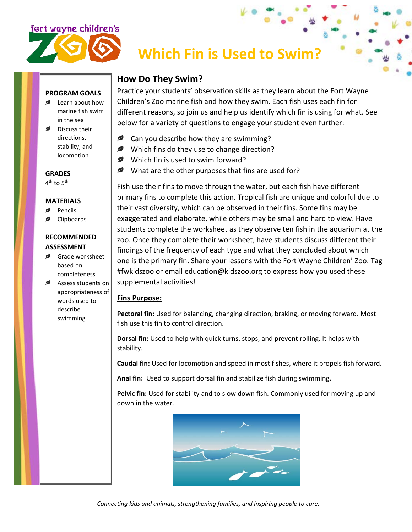

# **Which Fin is Used to Swim?**

## **How Do They Swim?**

Practice your students' observation skills as they learn about the Fort Wayne Children's Zoo marine fish and how they swim. Each fish uses each fin for different reasons, so join us and help us identify which fin is using for what. See below for a variety of questions to engage your student even further:

- **Can you describe how they are swimming?**
- Which fins do they use to change direction?
- Which fin is used to swim forward?
- What are the other purposes that fins are used for?

Fish use their fins to move through the water, but each fish have different primary fins to complete this action. Tropical fish are unique and colorful due to their vast diversity, which can be observed in their fins. Some fins may be exaggerated and elaborate, while others may be small and hard to view. Have students complete the worksheet as they observe ten fish in the aquarium at the zoo. Once they complete their worksheet, have students discuss different their findings of the frequency of each type and what they concluded about which one is the primary fin. Share your lessons with the Fort Wayne Children' Zoo. Tag #fwkidszoo or email education@kidszoo.org to express how you used these supplemental activities!

### **Fins Purpose:**

**Pectoral fin:** Used for balancing, changing direction, braking, or moving forward. Most fish use this fin to control direction.

**Dorsal fin:** Used to help with quick turns, stops, and prevent rolling. It helps with stability.

**Caudal fin:** Used for locomotion and speed in most fishes, where it propels fish forward.

**Anal fin:** Used to support dorsal fin and stabilize fish during swimming.

**Pelvic fin:** Used for stability and to slow down fish. Commonly used for moving up and down in the water.



## **PROGRAM GOALS**

- Learn about how marine fish swim in the sea
- Discuss their directions, stability, and locomotion

#### **GRADES**

4<sup>th</sup> to 5<sup>th</sup>

#### **MATERIALS**

- Pencils
- Clipboards

#### **RECOMMENDED ASSESSMENT**

- Grade worksheet based on completeness
- Assess students on appropriateness of words used to describe swimming

*Connecting kids and animals, strengthening families, and inspiring people to care.*